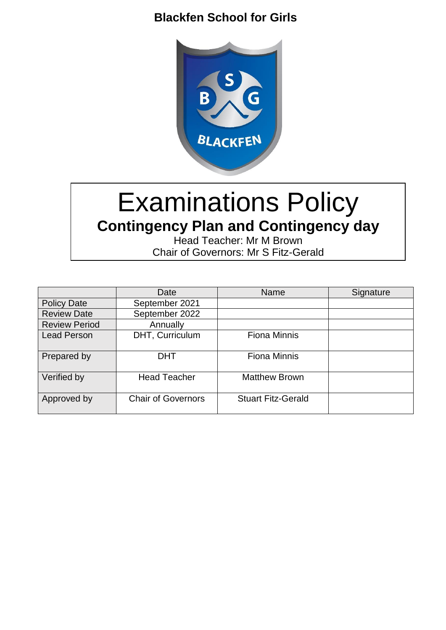# **Blackfen School for Girls**



# Examinations Policy **Contingency Plan and Contingency day**

Head Teacher: Mr M Brown Chair of Governors: Mr S Fitz-Gerald

|                      | Date                      | <b>Name</b>               | Signature |
|----------------------|---------------------------|---------------------------|-----------|
| <b>Policy Date</b>   | September 2021            |                           |           |
| <b>Review Date</b>   | September 2022            |                           |           |
| <b>Review Period</b> | Annually                  |                           |           |
| Lead Person          | DHT, Curriculum           | <b>Fiona Minnis</b>       |           |
| Prepared by          | <b>DHT</b>                | <b>Fiona Minnis</b>       |           |
| Verified by          | <b>Head Teacher</b>       | <b>Matthew Brown</b>      |           |
| Approved by          | <b>Chair of Governors</b> | <b>Stuart Fitz-Gerald</b> |           |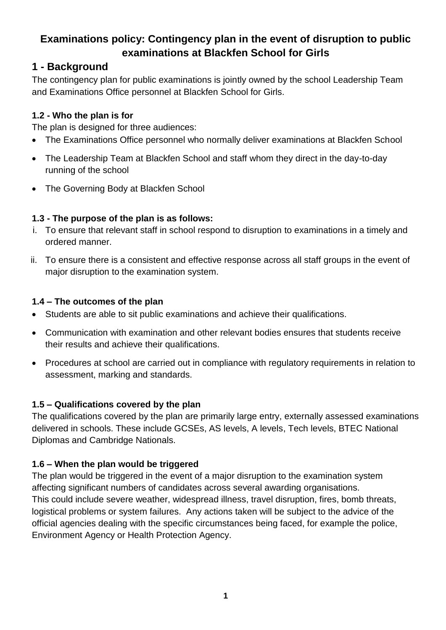# **Examinations policy: Contingency plan in the event of disruption to public examinations at Blackfen School for Girls**

## **1 - Background**

The contingency plan for public examinations is jointly owned by the school Leadership Team and Examinations Office personnel at Blackfen School for Girls.

## **1.2 - Who the plan is for**

The plan is designed for three audiences:

- The Examinations Office personnel who normally deliver examinations at Blackfen School
- The Leadership Team at Blackfen School and staff whom they direct in the day-to-day running of the school
- The Governing Body at Blackfen School

## **1.3 - The purpose of the plan is as follows:**

- i. To ensure that relevant staff in school respond to disruption to examinations in a timely and ordered manner.
- ii. To ensure there is a consistent and effective response across all staff groups in the event of major disruption to the examination system.

#### **1.4 – The outcomes of the plan**

- Students are able to sit public examinations and achieve their qualifications.
- Communication with examination and other relevant bodies ensures that students receive their results and achieve their qualifications.
- Procedures at school are carried out in compliance with regulatory requirements in relation to assessment, marking and standards.

## **1.5 – Qualifications covered by the plan**

The qualifications covered by the plan are primarily large entry, externally assessed examinations delivered in schools. These include GCSEs, AS levels, A levels, Tech levels, BTEC National Diplomas and Cambridge Nationals.

## **1.6 – When the plan would be triggered**

The plan would be triggered in the event of a major disruption to the examination system affecting significant numbers of candidates across several awarding organisations. This could include severe weather, widespread illness, travel disruption, fires, bomb threats, logistical problems or system failures. Any actions taken will be subject to the advice of the official agencies dealing with the specific circumstances being faced, for example the police, Environment Agency or Health Protection Agency.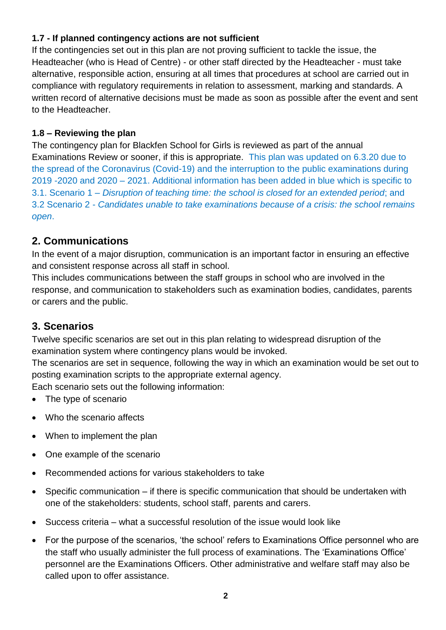#### **1.7 - If planned contingency actions are not sufficient**

If the contingencies set out in this plan are not proving sufficient to tackle the issue, the Headteacher (who is Head of Centre) - or other staff directed by the Headteacher - must take alternative, responsible action, ensuring at all times that procedures at school are carried out in compliance with regulatory requirements in relation to assessment, marking and standards. A written record of alternative decisions must be made as soon as possible after the event and sent to the Headteacher.

#### **1.8 – Reviewing the plan**

The contingency plan for Blackfen School for Girls is reviewed as part of the annual Examinations Review or sooner, if this is appropriate. This plan was updated on 6.3.20 due to the spread of the Coronavirus (Covid-19) and the interruption to the public examinations during 2019 -2020 and 2020 – 2021. Additional information has been added in blue which is specific to 3.1. Scenario 1 *– Disruption of teaching time: the school is closed for an extended period*; and 3.2 Scenario 2 - *Candidates unable to take examinations because of a crisis: the school remains open*.

## **2. Communications**

In the event of a major disruption, communication is an important factor in ensuring an effective and consistent response across all staff in school.

This includes communications between the staff groups in school who are involved in the response, and communication to stakeholders such as examination bodies, candidates, parents or carers and the public.

## **3. Scenarios**

Twelve specific scenarios are set out in this plan relating to widespread disruption of the examination system where contingency plans would be invoked.

The scenarios are set in sequence, following the way in which an examination would be set out to posting examination scripts to the appropriate external agency.

Each scenario sets out the following information:

- The type of scenario
- Who the scenario affects
- When to implement the plan
- One example of the scenario
- Recommended actions for various stakeholders to take
- Specific communication if there is specific communication that should be undertaken with one of the stakeholders: students, school staff, parents and carers.
- Success criteria what a successful resolution of the issue would look like
- For the purpose of the scenarios, 'the school' refers to Examinations Office personnel who are the staff who usually administer the full process of examinations. The 'Examinations Office' personnel are the Examinations Officers. Other administrative and welfare staff may also be called upon to offer assistance.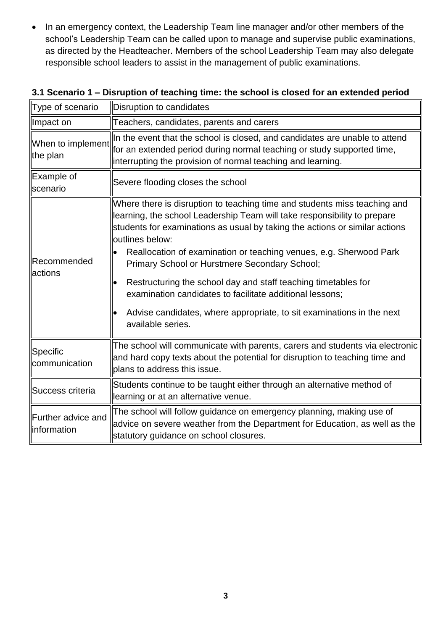• In an emergency context, the Leadership Team line manager and/or other members of the school's Leadership Team can be called upon to manage and supervise public examinations, as directed by the Headteacher. Members of the school Leadership Team may also delegate responsible school leaders to assist in the management of public examinations.

| Type of scenario                   | Disruption to candidates                                                                                                                                                                                                                                                                                                                                                                                                                                                                                                                                                                                   |
|------------------------------------|------------------------------------------------------------------------------------------------------------------------------------------------------------------------------------------------------------------------------------------------------------------------------------------------------------------------------------------------------------------------------------------------------------------------------------------------------------------------------------------------------------------------------------------------------------------------------------------------------------|
| Impact on                          | Teachers, candidates, parents and carers                                                                                                                                                                                                                                                                                                                                                                                                                                                                                                                                                                   |
| When to implement<br>the plan      | In the event that the school is closed, and candidates are unable to attend<br>for an extended period during normal teaching or study supported time,<br>interrupting the provision of normal teaching and learning.                                                                                                                                                                                                                                                                                                                                                                                       |
| Example of<br>scenario             | Severe flooding closes the school                                                                                                                                                                                                                                                                                                                                                                                                                                                                                                                                                                          |
| Recommended<br>actions             | Where there is disruption to teaching time and students miss teaching and<br>learning, the school Leadership Team will take responsibility to prepare<br>students for examinations as usual by taking the actions or similar actions<br>outlines below:<br>Reallocation of examination or teaching venues, e.g. Sherwood Park<br>Primary School or Hurstmere Secondary School;<br>Restructuring the school day and staff teaching timetables for<br>examination candidates to facilitate additional lessons;<br>Advise candidates, where appropriate, to sit examinations in the next<br>available series. |
| Specific<br>communication          | The school will communicate with parents, carers and students via electronic<br>and hard copy texts about the potential for disruption to teaching time and<br>plans to address this issue.                                                                                                                                                                                                                                                                                                                                                                                                                |
| Success criteria                   | Students continue to be taught either through an alternative method of<br>learning or at an alternative venue.                                                                                                                                                                                                                                                                                                                                                                                                                                                                                             |
| Further advice and<br>linformation | The school will follow guidance on emergency planning, making use of<br>advice on severe weather from the Department for Education, as well as the<br>statutory guidance on school closures.                                                                                                                                                                                                                                                                                                                                                                                                               |

#### **3.1 Scenario 1 – Disruption of teaching time: the school is closed for an extended period**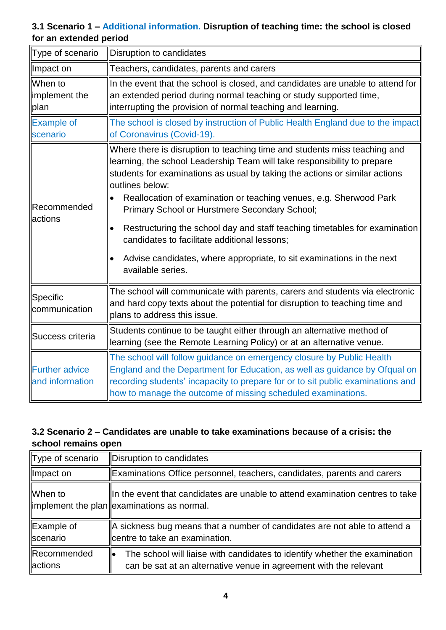## **3.1 Scenario 1 – Additional information. Disruption of teaching time: the school is closed for an extended period**

| Type of scenario                         | Disruption to candidates                                                                                                                                                                                                                                                                                                                                                                                                                                                                                                                                                                                   |
|------------------------------------------|------------------------------------------------------------------------------------------------------------------------------------------------------------------------------------------------------------------------------------------------------------------------------------------------------------------------------------------------------------------------------------------------------------------------------------------------------------------------------------------------------------------------------------------------------------------------------------------------------------|
| Impact on                                | Teachers, candidates, parents and carers                                                                                                                                                                                                                                                                                                                                                                                                                                                                                                                                                                   |
| When to<br>implement the<br>plan         | In the event that the school is closed, and candidates are unable to attend for<br>an extended period during normal teaching or study supported time,<br>interrupting the provision of normal teaching and learning.                                                                                                                                                                                                                                                                                                                                                                                       |
| <b>Example of</b><br>scenario            | The school is closed by instruction of Public Health England due to the impact<br>of Coronavirus (Covid-19).                                                                                                                                                                                                                                                                                                                                                                                                                                                                                               |
| <b>Recommended</b><br>lactions           | Where there is disruption to teaching time and students miss teaching and<br>learning, the school Leadership Team will take responsibility to prepare<br>students for examinations as usual by taking the actions or similar actions<br>outlines below:<br>Reallocation of examination or teaching venues, e.g. Sherwood Park<br>Primary School or Hurstmere Secondary School;<br>Restructuring the school day and staff teaching timetables for examination<br>candidates to facilitate additional lessons;<br>Advise candidates, where appropriate, to sit examinations in the next<br>available series. |
| Specific<br>communication                | The school will communicate with parents, carers and students via electronic<br>and hard copy texts about the potential for disruption to teaching time and<br>plans to address this issue.                                                                                                                                                                                                                                                                                                                                                                                                                |
| Success criteria                         | Students continue to be taught either through an alternative method of<br>learning (see the Remote Learning Policy) or at an alternative venue.                                                                                                                                                                                                                                                                                                                                                                                                                                                            |
| <b>Further advice</b><br>and information | The school will follow guidance on emergency closure by Public Health<br>England and the Department for Education, as well as guidance by Ofqual on<br>recording students' incapacity to prepare for or to sit public examinations and<br>how to manage the outcome of missing scheduled examinations.                                                                                                                                                                                                                                                                                                     |

## **3.2 Scenario 2 – Candidates are unable to take examinations because of a crisis: the school remains open**

| Type of scenario               | Disruption to candidates                                                                                                                        |
|--------------------------------|-------------------------------------------------------------------------------------------------------------------------------------------------|
| ∥Impact on                     | Examinations Office personnel, teachers, candidates, parents and carers                                                                         |
| When to                        | $\ $ In the event that candidates are unable to attend examination centres to take $\ $<br>$\ $ implement the plan $\ $ examinations as normal. |
| Example of<br><b>Iscenario</b> | $\parallel$ A sickness bug means that a number of candidates are not able to attend a<br>centre to take an examination.                         |
| <b>Recommended</b><br>lactions | The school will liaise with candidates to identify whether the examination<br>can be sat at an alternative venue in agreement with the relevant |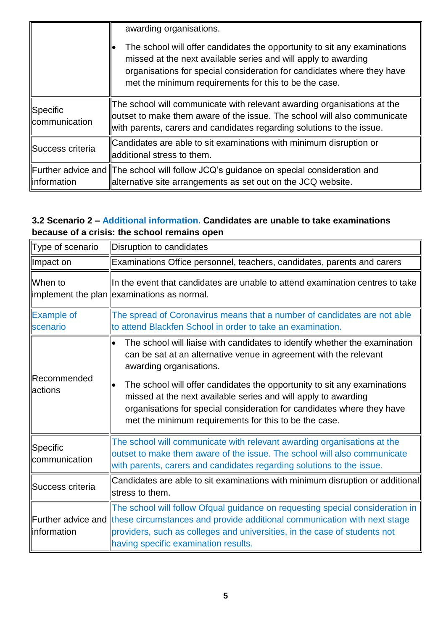|                           | awarding organisations.<br>The school will offer candidates the opportunity to sit any examinations<br>missed at the next available series and will apply to awarding<br>organisations for special consideration for candidates where they have<br>met the minimum requirements for this to be the case. |
|---------------------------|----------------------------------------------------------------------------------------------------------------------------------------------------------------------------------------------------------------------------------------------------------------------------------------------------------|
| Specific<br>communication | The school will communicate with relevant awarding organisations at the<br>outset to make them aware of the issue. The school will also communicate<br>with parents, carers and candidates regarding solutions to the issue.                                                                             |
| Success criteria          | Candidates are able to sit examinations with minimum disruption or<br>ladditional stress to them.                                                                                                                                                                                                        |
| llinformation             | Further advice and The school will follow JCQ's guidance on special consideration and<br>alternative site arrangements as set out on the JCQ website.                                                                                                                                                    |

## **3.2 Scenario 2 – Additional information. Candidates are unable to take examinations because of a crisis: the school remains open**

| Type of scenario               | Disruption to candidates                                                                                                                                                                                                                                                                                                                                                                                                                                    |
|--------------------------------|-------------------------------------------------------------------------------------------------------------------------------------------------------------------------------------------------------------------------------------------------------------------------------------------------------------------------------------------------------------------------------------------------------------------------------------------------------------|
| Impact on                      | Examinations Office personnel, teachers, candidates, parents and carers                                                                                                                                                                                                                                                                                                                                                                                     |
| <b>I</b> When to               | In the event that candidates are unable to attend examination centres to take<br>limplement the plan  examinations as normal.                                                                                                                                                                                                                                                                                                                               |
| <b>Example of</b><br>scenario  | The spread of Coronavirus means that a number of candidates are not able<br>to attend Blackfen School in order to take an examination.                                                                                                                                                                                                                                                                                                                      |
| <b>Recommended</b><br>lactions | The school will liaise with candidates to identify whether the examination<br>can be sat at an alternative venue in agreement with the relevant<br>awarding organisations.<br>The school will offer candidates the opportunity to sit any examinations<br>missed at the next available series and will apply to awarding<br>organisations for special consideration for candidates where they have<br>met the minimum requirements for this to be the case. |
| Specific<br>communication      | The school will communicate with relevant awarding organisations at the<br>outset to make them aware of the issue. The school will also communicate<br>with parents, carers and candidates regarding solutions to the issue.                                                                                                                                                                                                                                |
| Success criteria               | Candidates are able to sit examinations with minimum disruption or additional<br>stress to them.                                                                                                                                                                                                                                                                                                                                                            |
| llinformation                  | The school will follow Ofqual guidance on requesting special consideration in<br>Further advice and these circumstances and provide additional communication with next stage<br>providers, such as colleges and universities, in the case of students not<br>having specific examination results.                                                                                                                                                           |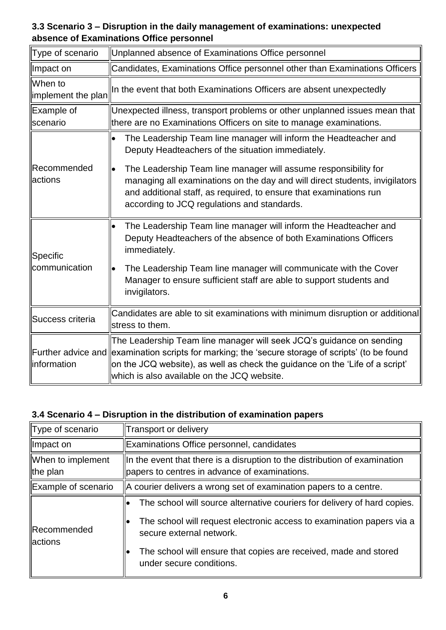#### **3.3 Scenario 3 – Disruption in the daily management of examinations: unexpected absence of Examinations Office personnel**

| Type of scenario                | Unplanned absence of Examinations Office personnel                                                                                                                                                                                                                                                      |
|---------------------------------|---------------------------------------------------------------------------------------------------------------------------------------------------------------------------------------------------------------------------------------------------------------------------------------------------------|
| ∥Impact on                      | Candidates, Examinations Office personnel other than Examinations Officers                                                                                                                                                                                                                              |
| When to<br>limplement the plan  | In the event that both Examinations Officers are absent unexpectedly                                                                                                                                                                                                                                    |
| Example of<br>scenario          | Unexpected illness, transport problems or other unplanned issues mean that<br>there are no Examinations Officers on site to manage examinations.                                                                                                                                                        |
| <b>IRecommended</b><br>lactions | The Leadership Team line manager will inform the Headteacher and<br>$\bullet$<br>Deputy Headteachers of the situation immediately.                                                                                                                                                                      |
|                                 | The Leadership Team line manager will assume responsibility for<br>$\bullet$<br>managing all examinations on the day and will direct students, invigilators<br>and additional staff, as required, to ensure that examinations run<br>according to JCQ regulations and standards.                        |
| Specific<br>communication       | The Leadership Team line manager will inform the Headteacher and<br>Deputy Headteachers of the absence of both Examinations Officers<br>immediately.                                                                                                                                                    |
|                                 | The Leadership Team line manager will communicate with the Cover<br>Manager to ensure sufficient staff are able to support students and<br>invigilators.                                                                                                                                                |
| Success criteria                | Candidates are able to sit examinations with minimum disruption or additional<br>stress to them.                                                                                                                                                                                                        |
| linformation                    | The Leadership Team line manager will seek JCQ's guidance on sending<br>Further advice and examination scripts for marking; the 'secure storage of scripts' (to be found<br>on the JCQ website), as well as check the guidance on the 'Life of a script'<br>which is also available on the JCQ website. |

## **3.4 Scenario 4 – Disruption in the distribution of examination papers**

| Type of scenario               | Transport or delivery                                                                                                                                                                                                                                                         |
|--------------------------------|-------------------------------------------------------------------------------------------------------------------------------------------------------------------------------------------------------------------------------------------------------------------------------|
| Impact on                      | Examinations Office personnel, candidates                                                                                                                                                                                                                                     |
| When to implement<br>∥the plan | $\ $ In the event that there is a disruption to the distribution of examination<br>papers to centres in advance of examinations.                                                                                                                                              |
| Example of scenario            | $\parallel$ A courier delivers a wrong set of examination papers to a centre.                                                                                                                                                                                                 |
| Recommended<br><b>actions</b>  | The school will source alternative couriers for delivery of hard copies.<br>The school will request electronic access to examination papers via a<br>secure external network.<br>The school will ensure that copies are received, made and stored<br>under secure conditions. |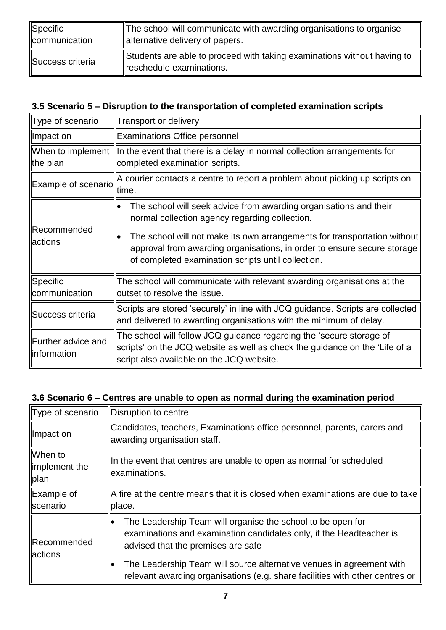| Specific         | The school will communicate with awarding organisations to organise                                 |
|------------------|-----------------------------------------------------------------------------------------------------|
| communication    | alternative delivery of papers.                                                                     |
| Success criteria | Students are able to proceed with taking examinations without having to<br>reschedule examinations. |

## **3.5 Scenario 5 – Disruption to the transportation of completed examination scripts**

| Type of scenario                      | Transport or delivery                                                                                                                                                                                                                                                                                                                  |
|---------------------------------------|----------------------------------------------------------------------------------------------------------------------------------------------------------------------------------------------------------------------------------------------------------------------------------------------------------------------------------------|
| ∥Impact on                            | <b>Examinations Office personnel</b>                                                                                                                                                                                                                                                                                                   |
| the plan                              | When to implement $\ $ In the event that there is a delay in normal collection arrangements for<br>completed examination scripts.                                                                                                                                                                                                      |
| Example of scenario                   | $\parallel$ A courier contacts a centre to report a problem about picking up scripts on<br>time.                                                                                                                                                                                                                                       |
| <b>IRecommended</b><br><b>actions</b> | The school will seek advice from awarding organisations and their<br>lo<br>normal collection agency regarding collection.<br>The school will not make its own arrangements for transportation without<br>approval from awarding organisations, in order to ensure secure storage<br>of completed examination scripts until collection. |
| Specific<br>communication             | The school will communicate with relevant awarding organisations at the<br>outset to resolve the issue.                                                                                                                                                                                                                                |
| Success criteria                      | Scripts are stored 'securely' in line with JCQ guidance. Scripts are collected<br>and delivered to awarding organisations with the minimum of delay.                                                                                                                                                                                   |
| Further advice and<br>linformation    | $\parallel$ The school will follow JCQ guidance regarding the 'secure storage of<br>scripts' on the JCQ website as well as check the guidance on the 'Life of a<br>script also available on the JCQ website.                                                                                                                           |

#### **3.6 Scenario 6 – Centres are unable to open as normal during the examination period**

| Type of scenario                  | Disruption to centre                                                                                                                                                                                                                                                                                                             |
|-----------------------------------|----------------------------------------------------------------------------------------------------------------------------------------------------------------------------------------------------------------------------------------------------------------------------------------------------------------------------------|
| ∥Impact on                        | Candidates, teachers, Examinations office personnel, parents, carers and<br>awarding organisation staff.                                                                                                                                                                                                                         |
| When to<br>limplement the<br>plan | In the event that centres are unable to open as normal for scheduled<br>lexaminations.                                                                                                                                                                                                                                           |
| Example of<br><b>Scenario</b>     | A fire at the centre means that it is closed when examinations are due to take<br>place.                                                                                                                                                                                                                                         |
| Recommended<br>lactions           | The Leadership Team will organise the school to be open for<br>examinations and examination candidates only, if the Headteacher is<br>advised that the premises are safe<br>The Leadership Team will source alternative venues in agreement with<br>relevant awarding organisations (e.g. share facilities with other centres or |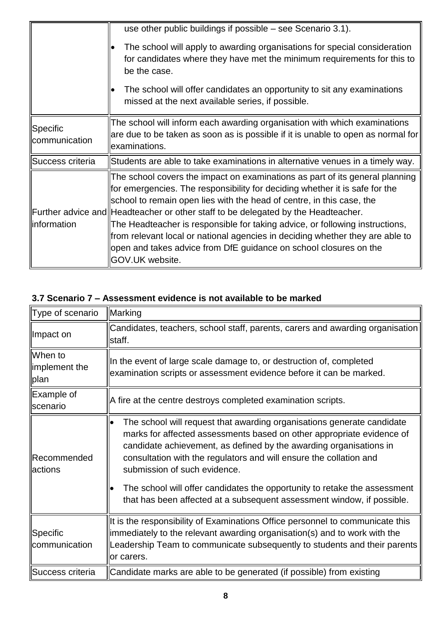|                           | use other public buildings if possible $-$ see Scenario 3.1).<br>The school will apply to awarding organisations for special consideration<br>for candidates where they have met the minimum requirements for this to<br>be the case.<br>The school will offer candidates an opportunity to sit any examinations<br>missed at the next available series, if possible.                                                                                                                                                                                                              |
|---------------------------|------------------------------------------------------------------------------------------------------------------------------------------------------------------------------------------------------------------------------------------------------------------------------------------------------------------------------------------------------------------------------------------------------------------------------------------------------------------------------------------------------------------------------------------------------------------------------------|
| Specific<br>communication | The school will inform each awarding organisation with which examinations<br>are due to be taken as soon as is possible if it is unable to open as normal for<br>lexaminations.                                                                                                                                                                                                                                                                                                                                                                                                    |
| Success criteria          | Students are able to take examinations in alternative venues in a timely way.                                                                                                                                                                                                                                                                                                                                                                                                                                                                                                      |
| llinformation             | The school covers the impact on examinations as part of its general planning<br>for emergencies. The responsibility for deciding whether it is safe for the<br>school to remain open lies with the head of centre, in this case, the<br>Further advice and Headteacher or other staff to be delegated by the Headteacher.<br>The Headteacher is responsible for taking advice, or following instructions,<br>from relevant local or national agencies in deciding whether they are able to<br>open and takes advice from DfE guidance on school closures on the<br>GOV.UK website. |

| 3.7 Scenario 7 – Assessment evidence is not available to be marked |  |
|--------------------------------------------------------------------|--|
|--------------------------------------------------------------------|--|

| Type of scenario                        | Marking                                                                                                                                                                                                                                                                                                                                                                                                                                                                            |  |  |
|-----------------------------------------|------------------------------------------------------------------------------------------------------------------------------------------------------------------------------------------------------------------------------------------------------------------------------------------------------------------------------------------------------------------------------------------------------------------------------------------------------------------------------------|--|--|
| Impact on                               | Candidates, teachers, school staff, parents, carers and awarding organisation<br>staff.                                                                                                                                                                                                                                                                                                                                                                                            |  |  |
| llWhen to<br>limplement the<br>plan     | In the event of large scale damage to, or destruction of, completed<br>examination scripts or assessment evidence before it can be marked.                                                                                                                                                                                                                                                                                                                                         |  |  |
| ∥Example of<br><b>Scenario</b>          | A fire at the centre destroys completed examination scripts.                                                                                                                                                                                                                                                                                                                                                                                                                       |  |  |
| <b>Recommended</b><br>lactions          | The school will request that awarding organisations generate candidate<br>marks for affected assessments based on other appropriate evidence of<br>candidate achievement, as defined by the awarding organisations in<br>consultation with the regulators and will ensure the collation and<br>submission of such evidence.<br>The school will offer candidates the opportunity to retake the assessment<br>that has been affected at a subsequent assessment window, if possible. |  |  |
| $\parallel$ Specific<br>llcommunication | It is the responsibility of Examinations Office personnel to communicate this<br>immediately to the relevant awarding organisation(s) and to work with the<br>Leadership Team to communicate subsequently to students and their parents<br>or carers.                                                                                                                                                                                                                              |  |  |
| Success criteria                        | Candidate marks are able to be generated (if possible) from existing                                                                                                                                                                                                                                                                                                                                                                                                               |  |  |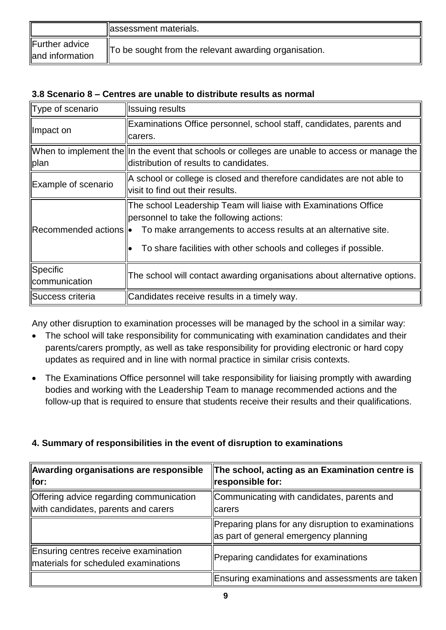|                                   | assessment materials.                                 |
|-----------------------------------|-------------------------------------------------------|
| Further advice<br>and information | To be sought from the relevant awarding organisation. |

#### **3.8 Scenario 8 – Centres are unable to distribute results as normal**

| Type of scenario                 | <b>Issuing results</b>                                                                                                                                                                                                                                                                                |  |
|----------------------------------|-------------------------------------------------------------------------------------------------------------------------------------------------------------------------------------------------------------------------------------------------------------------------------------------------------|--|
| ∥Impact on                       | Examinations Office personnel, school staff, candidates, parents and<br>carers.                                                                                                                                                                                                                       |  |
| plan                             | When to implement the ln the event that schools or colleges are unable to access or manage the<br>distribution of results to candidates.                                                                                                                                                              |  |
| Example of scenario              | A school or college is closed and therefore candidates are not able to<br>visit to find out their results.                                                                                                                                                                                            |  |
|                                  | The school Leadership Team will liaise with Examinations Office<br>personnel to take the following actions:<br>$\parallel$ Recommended actions $\parallel \bullet$ To make arrangements to access results at an alternative site.<br>To share facilities with other schools and colleges if possible. |  |
| Specific<br><i>communication</i> | The school will contact awarding organisations about alternative options.                                                                                                                                                                                                                             |  |
| Success criteria                 | Candidates receive results in a timely way.                                                                                                                                                                                                                                                           |  |

Any other disruption to examination processes will be managed by the school in a similar way:

- The school will take responsibility for communicating with examination candidates and their parents/carers promptly, as well as take responsibility for providing electronic or hard copy updates as required and in line with normal practice in similar crisis contexts.
- The Examinations Office personnel will take responsibility for liaising promptly with awarding bodies and working with the Leadership Team to manage recommended actions and the follow-up that is required to ensure that students receive their results and their qualifications.

#### **4. Summary of responsibilities in the event of disruption to examinations**

| Awarding organisations are responsible<br>$\ $ for:                            | The school, acting as an Examination centre is<br>responsible for:                          |
|--------------------------------------------------------------------------------|---------------------------------------------------------------------------------------------|
| Offering advice regarding communication<br>with candidates, parents and carers | Communicating with candidates, parents and<br>carers                                        |
|                                                                                | Preparing plans for any disruption to examinations<br>as part of general emergency planning |
| Ensuring centres receive examination<br>materials for scheduled examinations   | Preparing candidates for examinations                                                       |
|                                                                                | Ensuring examinations and assessments are taken                                             |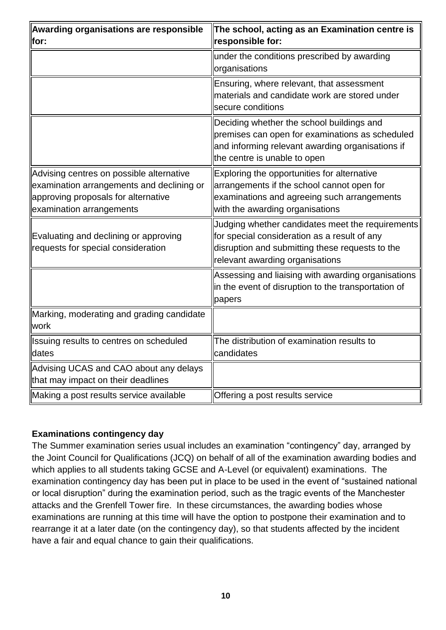| Awarding organisations are responsible<br>for:                                                                                                           | The school, acting as an Examination centre is<br>responsible for:                                                                                                                     |
|----------------------------------------------------------------------------------------------------------------------------------------------------------|----------------------------------------------------------------------------------------------------------------------------------------------------------------------------------------|
|                                                                                                                                                          | under the conditions prescribed by awarding<br>organisations                                                                                                                           |
|                                                                                                                                                          | Ensuring, where relevant, that assessment<br>materials and candidate work are stored under<br>secure conditions                                                                        |
|                                                                                                                                                          | Deciding whether the school buildings and<br>premises can open for examinations as scheduled<br>and informing relevant awarding organisations if<br>the centre is unable to open       |
| Advising centres on possible alternative<br>examination arrangements and declining or<br>approving proposals for alternative<br>examination arrangements | Exploring the opportunities for alternative<br>arrangements if the school cannot open for<br>examinations and agreeing such arrangements<br>with the awarding organisations            |
| Evaluating and declining or approving<br>requests for special consideration                                                                              | Judging whether candidates meet the requirements<br>for special consideration as a result of any<br>disruption and submitting these requests to the<br>relevant awarding organisations |
|                                                                                                                                                          | Assessing and liaising with awarding organisations<br>in the event of disruption to the transportation of<br>papers                                                                    |
| Marking, moderating and grading candidate<br>work                                                                                                        |                                                                                                                                                                                        |
| Issuing results to centres on scheduled<br>dates                                                                                                         | The distribution of examination results to<br>candidates                                                                                                                               |
| Advising UCAS and CAO about any delays<br>that may impact on their deadlines                                                                             |                                                                                                                                                                                        |
| Making a post results service available                                                                                                                  | Offering a post results service                                                                                                                                                        |

#### **Examinations contingency day**

The Summer examination series usual includes an examination "contingency" day, arranged by the Joint Council for Qualifications (JCQ) on behalf of all of the examination awarding bodies and which applies to all students taking GCSE and A-Level (or equivalent) examinations. The examination contingency day has been put in place to be used in the event of "sustained national or local disruption" during the examination period, such as the tragic events of the Manchester attacks and the Grenfell Tower fire. In these circumstances, the awarding bodies whose examinations are running at this time will have the option to postpone their examination and to rearrange it at a later date (on the contingency day), so that students affected by the incident have a fair and equal chance to gain their qualifications.